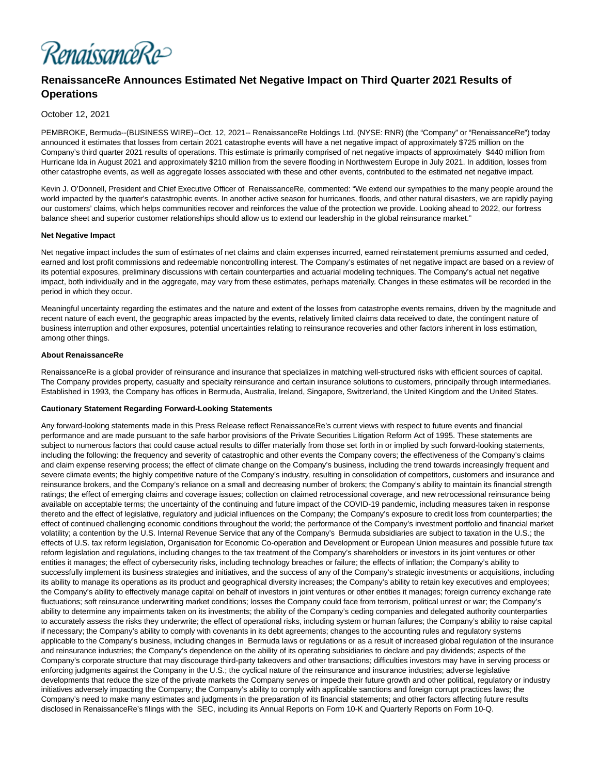

# **RenaissanceRe Announces Estimated Net Negative Impact on Third Quarter 2021 Results of Operations**

## October 12, 2021

PEMBROKE, Bermuda--(BUSINESS WIRE)--Oct. 12, 2021-- RenaissanceRe Holdings Ltd. (NYSE: RNR) (the "Company" or "RenaissanceRe") today announced it estimates that losses from certain 2021 catastrophe events will have a net negative impact of approximately \$725 million on the Company's third quarter 2021 results of operations. This estimate is primarily comprised of net negative impacts of approximately \$440 million from Hurricane Ida in August 2021 and approximately \$210 million from the severe flooding in Northwestern Europe in July 2021. In addition, losses from other catastrophe events, as well as aggregate losses associated with these and other events, contributed to the estimated net negative impact.

Kevin J. O'Donnell, President and Chief Executive Officer of RenaissanceRe, commented: "We extend our sympathies to the many people around the world impacted by the quarter's catastrophic events. In another active season for hurricanes, floods, and other natural disasters, we are rapidly paying our customers' claims, which helps communities recover and reinforces the value of the protection we provide. Looking ahead to 2022, our fortress balance sheet and superior customer relationships should allow us to extend our leadership in the global reinsurance market."

#### **Net Negative Impact**

Net negative impact includes the sum of estimates of net claims and claim expenses incurred, earned reinstatement premiums assumed and ceded, earned and lost profit commissions and redeemable noncontrolling interest. The Company's estimates of net negative impact are based on a review of its potential exposures, preliminary discussions with certain counterparties and actuarial modeling techniques. The Company's actual net negative impact, both individually and in the aggregate, may vary from these estimates, perhaps materially. Changes in these estimates will be recorded in the period in which they occur.

Meaningful uncertainty regarding the estimates and the nature and extent of the losses from catastrophe events remains, driven by the magnitude and recent nature of each event, the geographic areas impacted by the events, relatively limited claims data received to date, the contingent nature of business interruption and other exposures, potential uncertainties relating to reinsurance recoveries and other factors inherent in loss estimation, among other things.

#### **About RenaissanceRe**

RenaissanceRe is a global provider of reinsurance and insurance that specializes in matching well-structured risks with efficient sources of capital. The Company provides property, casualty and specialty reinsurance and certain insurance solutions to customers, principally through intermediaries. Established in 1993, the Company has offices in Bermuda, Australia, Ireland, Singapore, Switzerland, the United Kingdom and the United States.

### **Cautionary Statement Regarding Forward-Looking Statements**

Any forward-looking statements made in this Press Release reflect RenaissanceRe's current views with respect to future events and financial performance and are made pursuant to the safe harbor provisions of the Private Securities Litigation Reform Act of 1995. These statements are subject to numerous factors that could cause actual results to differ materially from those set forth in or implied by such forward-looking statements, including the following: the frequency and severity of catastrophic and other events the Company covers; the effectiveness of the Company's claims and claim expense reserving process; the effect of climate change on the Company's business, including the trend towards increasingly frequent and severe climate events; the highly competitive nature of the Company's industry, resulting in consolidation of competitors, customers and insurance and reinsurance brokers, and the Company's reliance on a small and decreasing number of brokers; the Company's ability to maintain its financial strength ratings; the effect of emerging claims and coverage issues; collection on claimed retrocessional coverage, and new retrocessional reinsurance being available on acceptable terms; the uncertainty of the continuing and future impact of the COVID-19 pandemic, including measures taken in response thereto and the effect of legislative, regulatory and judicial influences on the Company; the Company's exposure to credit loss from counterparties; the effect of continued challenging economic conditions throughout the world; the performance of the Company's investment portfolio and financial market volatility; a contention by the U.S. Internal Revenue Service that any of the Company's Bermuda subsidiaries are subject to taxation in the U.S.; the effects of U.S. tax reform legislation, Organisation for Economic Co-operation and Development or European Union measures and possible future tax reform legislation and regulations, including changes to the tax treatment of the Company's shareholders or investors in its joint ventures or other entities it manages; the effect of cybersecurity risks, including technology breaches or failure; the effects of inflation; the Company's ability to successfully implement its business strategies and initiatives, and the success of any of the Company's strategic investments or acquisitions, including its ability to manage its operations as its product and geographical diversity increases; the Company's ability to retain key executives and employees; the Company's ability to effectively manage capital on behalf of investors in joint ventures or other entities it manages; foreign currency exchange rate fluctuations; soft reinsurance underwriting market conditions; losses the Company could face from terrorism, political unrest or war; the Company's ability to determine any impairments taken on its investments; the ability of the Company's ceding companies and delegated authority counterparties to accurately assess the risks they underwrite; the effect of operational risks, including system or human failures; the Company's ability to raise capital if necessary; the Company's ability to comply with covenants in its debt agreements; changes to the accounting rules and regulatory systems applicable to the Company's business, including changes in Bermuda laws or regulations or as a result of increased global regulation of the insurance and reinsurance industries; the Company's dependence on the ability of its operating subsidiaries to declare and pay dividends; aspects of the Company's corporate structure that may discourage third-party takeovers and other transactions; difficulties investors may have in serving process or enforcing judgments against the Company in the U.S.; the cyclical nature of the reinsurance and insurance industries; adverse legislative developments that reduce the size of the private markets the Company serves or impede their future growth and other political, regulatory or industry initiatives adversely impacting the Company; the Company's ability to comply with applicable sanctions and foreign corrupt practices laws; the Company's need to make many estimates and judgments in the preparation of its financial statements; and other factors affecting future results disclosed in RenaissanceRe's filings with the SEC, including its Annual Reports on Form 10-K and Quarterly Reports on Form 10-Q.